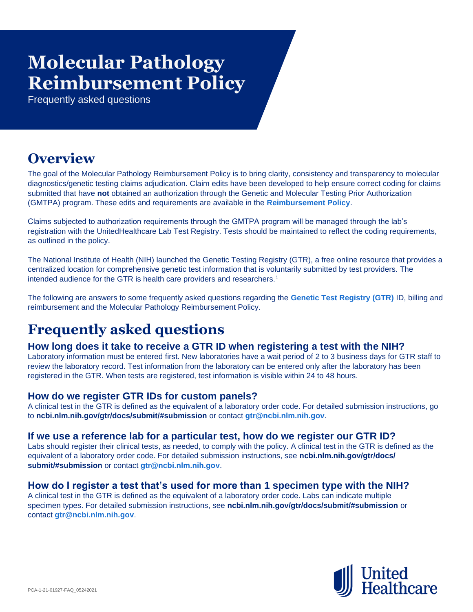# **Reimbursement Policy Molecular Pathology**

Frequently asked questions

# **Overview**

The goal of the Molecular Pathology Reimbursement Policy is to bring clarity, consistency and transparency to molecular diagnostics/genetic testing claims adjudication. Claim edits have been developed to help ensure correct coding for claims submitted that have **not** obtained an authorization through the Genetic and Molecular Testing Prior Authorization (GMTPA) program. These edits and requirements are available in the **[Reimbursement Policy](https://www.uhcprovider.com/content/dam/provider/docs/public/policies/comm-reimbursement/COMM-Molecular-Pathology-Policy.pdf)**.

Claims subjected to authorization requirements through the GMTPA program will be managed through the lab's registration with the UnitedHealthcare Lab Test Registry. Tests should be maintained to reflect the coding requirements, as outlined in the policy.

The National Institute of Health (NIH) launched the Genetic Testing Registry (GTR), a free online resource that provides a centralized location for comprehensive genetic test information that is voluntarily submitted by test providers. The intended audience for the GTR is health care providers and researchers.<sup>1</sup>

The following are answers to some frequently asked questions regarding the **[Genetic Test Registry \(GTR\)](https://www.ncbi.nlm.nih.gov/gtr/)** ID, billing and reimbursement and the Molecular Pathology Reimbursement Policy.

# **Frequently asked questions**

## **How long does it take to receive a GTR ID when registering a test with the NIH?**

Laboratory information must be entered first. New laboratories have a wait period of 2 to 3 business days for GTR staff to review the laboratory record. Test information from the laboratory can be entered only after the laboratory has been registered in the GTR. When tests are registered, test information is visible within 24 to 48 hours.

# **How do we register GTR IDs for custom panels?**

A clinical test in the GTR is defined as the equivalent of a laboratory order code. For detailed submission instructions, go to **ncbi.nlm.nih.gov/gtr/docs/submit/#submission** or contact **[gtr@ncbi.nlm.nih.gov](mailto:gtr@ncbi.nlm.nih.gov)**.

## **If we use a reference lab for a particular test, how do we register our GTR ID?**

Labs should register their clinical tests, as needed, to comply with the policy. A clinical test in the GTR is defined as the equivalent of a laboratory order code. For detailed submission instructions, see **ncbi.nlm.nih.gov/gtr/docs/ submit/#submission** or contact **[gtr@ncbi.nlm.nih.gov](mailto:gtr@ncbi.nlm.nih.gov)**.

## **How do I register a test that's used for more than 1 specimen type with the NIH?**

A clinical test in the GTR is defined as the equivalent of a laboratory order code. Labs can indicate multiple specimen types. For detailed submission instructions, see **ncbi.nlm.nih.gov/gtr/docs/submit/#submission** or contact **[gtr@ncbi.nlm.nih.gov](mailto:gtr@ncbi.nlm.nih.gov)**.

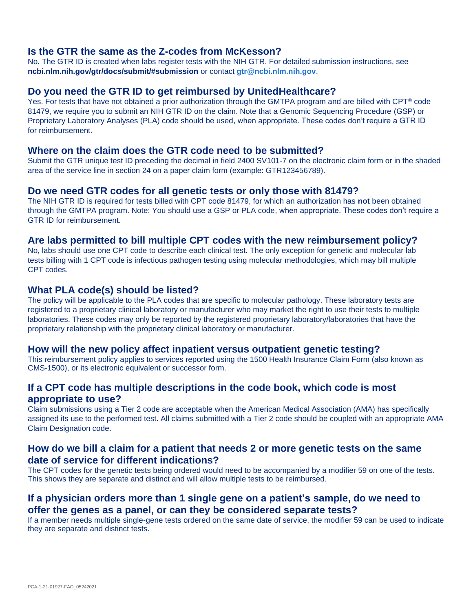#### **Is the GTR the same as the Z-codes from McKesson?**

No. The GTR ID is created when labs register tests with the NIH GTR. For detailed submission instructions, see **ncbi.nlm.nih.gov/gtr/docs/submit/#submission** or contact **[gtr@ncbi.nlm.nih.gov](mailto:gtr@ncbi.nlm.nih.gov)**.

#### **Do you need the GTR ID to get reimbursed by UnitedHealthcare?**

Yes. For tests that have not obtained a prior authorization through the GMTPA program and are billed with CPT® code 81479, we require you to submit an NIH GTR ID on the claim. Note that a Genomic Sequencing Procedure (GSP) or Proprietary Laboratory Analyses (PLA) code should be used, when appropriate. These codes don't require a GTR ID for reimbursement.

#### **Where on the claim does the GTR code need to be submitted?**

Submit the GTR unique test ID preceding the decimal in field 2400 SV101-7 on the electronic claim form or in the shaded area of the service line in section 24 on a paper claim form (example: GTR123456789).

#### **Do we need GTR codes for all genetic tests or only those with 81479?**

The NIH GTR ID is required for tests billed with CPT code 81479, for which an authorization has **not** been obtained through the GMTPA program. Note: You should use a GSP or PLA code, when appropriate. These codes don't require a GTR ID for reimbursement.

#### **Are labs permitted to bill multiple CPT codes with the new reimbursement policy?**

No, labs should use one CPT code to describe each clinical test. The only exception for genetic and molecular lab tests billing with 1 CPT code is infectious pathogen testing using molecular methodologies, which may bill multiple CPT codes.

#### **What PLA code(s) should be listed?**

The policy will be applicable to the PLA codes that are specific to molecular pathology. These laboratory tests are registered to a proprietary clinical laboratory or manufacturer who may market the right to use their tests to multiple laboratories. These codes may only be reported by the registered proprietary laboratory/laboratories that have the proprietary relationship with the proprietary clinical laboratory or manufacturer.

#### **How will the new policy affect inpatient versus outpatient genetic testing?**

This reimbursement policy applies to services reported using the 1500 Health Insurance Claim Form (also known as CMS-1500), or its electronic equivalent or successor form.

# **If a CPT code has multiple descriptions in the code book, which code is most appropriate to use?**

Claim submissions using a Tier 2 code are acceptable when the American Medical Association (AMA) has specifically assigned its use to the performed test. All claims submitted with a Tier 2 code should be coupled with an appropriate AMA Claim Designation code.

#### **How do we bill a claim for a patient that needs 2 or more genetic tests on the same date of service for different indications?**

The CPT codes for the genetic tests being ordered would need to be accompanied by a modifier 59 on one of the tests. This shows they are separate and distinct and will allow multiple tests to be reimbursed.

# **If a physician orders more than 1 single gene on a patient's sample, do we need to offer the genes as a panel, or can they be considered separate tests?**

If a member needs multiple single-gene tests ordered on the same date of service, the modifier 59 can be used to indicate they are separate and distinct tests.